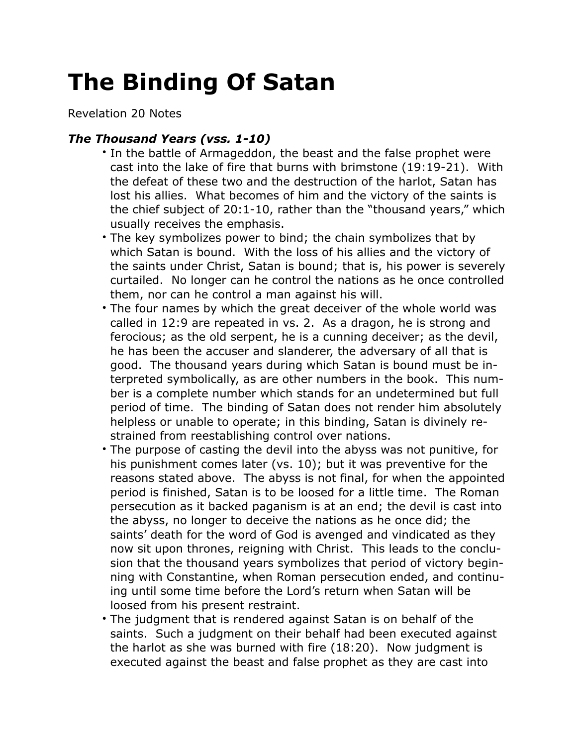## **The Binding Of Satan**

Revelation 20 Notes

## *The Thousand Years (vss. 1-10)*

- In the battle of Armageddon, the beast and the false prophet were cast into the lake of fire that burns with brimstone (19:19-21). With the defeat of these two and the destruction of the harlot, Satan has lost his allies. What becomes of him and the victory of the saints is the chief subject of 20:1-10, rather than the "thousand years," which usually receives the emphasis.
- The key symbolizes power to bind; the chain symbolizes that by which Satan is bound. With the loss of his allies and the victory of the saints under Christ, Satan is bound; that is, his power is severely curtailed. No longer can he control the nations as he once controlled them, nor can he control a man against his will.
- The four names by which the great deceiver of the whole world was called in 12:9 are repeated in vs. 2. As a dragon, he is strong and ferocious; as the old serpent, he is a cunning deceiver; as the devil, he has been the accuser and slanderer, the adversary of all that is good. The thousand years during which Satan is bound must be interpreted symbolically, as are other numbers in the book. This number is a complete number which stands for an undetermined but full period of time. The binding of Satan does not render him absolutely helpless or unable to operate; in this binding, Satan is divinely restrained from reestablishing control over nations.
- The purpose of casting the devil into the abyss was not punitive, for his punishment comes later (vs. 10); but it was preventive for the reasons stated above. The abyss is not final, for when the appointed period is finished, Satan is to be loosed for a little time. The Roman persecution as it backed paganism is at an end; the devil is cast into the abyss, no longer to deceive the nations as he once did; the saints' death for the word of God is avenged and vindicated as they now sit upon thrones, reigning with Christ. This leads to the conclusion that the thousand years symbolizes that period of victory beginning with Constantine, when Roman persecution ended, and continuing until some time before the Lord's return when Satan will be loosed from his present restraint.
- The judgment that is rendered against Satan is on behalf of the saints. Such a judgment on their behalf had been executed against the harlot as she was burned with fire (18:20). Now judgment is executed against the beast and false prophet as they are cast into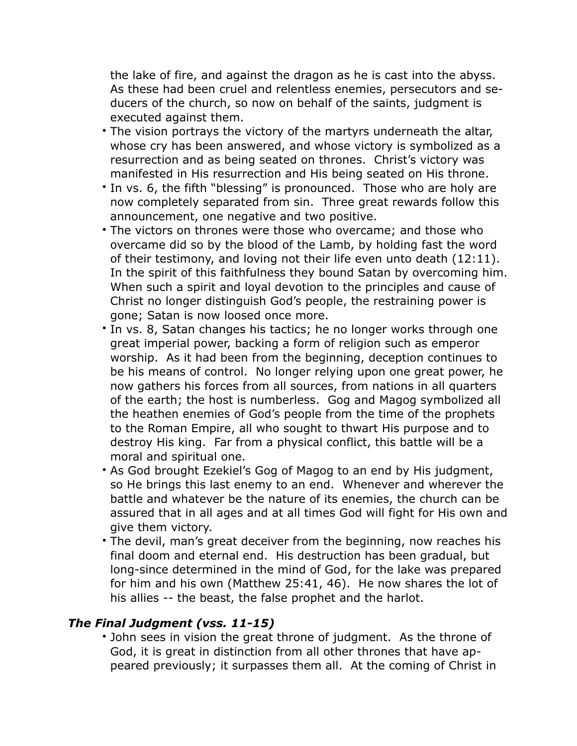the lake of fire, and against the dragon as he is cast into the abyss. As these had been cruel and relentless enemies, persecutors and seducers of the church, so now on behalf of the saints, judgment is executed against them.

- The vision portrays the victory of the martyrs underneath the altar, whose cry has been answered, and whose victory is symbolized as a resurrection and as being seated on thrones. Christ's victory was manifested in His resurrection and His being seated on His throne.
- In vs. 6, the fifth "blessing" is pronounced. Those who are holy are now completely separated from sin. Three great rewards follow this announcement, one negative and two positive.
- The victors on thrones were those who overcame; and those who overcame did so by the blood of the Lamb, by holding fast the word of their testimony, and loving not their life even unto death (12:11). In the spirit of this faithfulness they bound Satan by overcoming him. When such a spirit and loyal devotion to the principles and cause of Christ no longer distinguish God's people, the restraining power is gone; Satan is now loosed once more.
- In vs. 8, Satan changes his tactics; he no longer works through one great imperial power, backing a form of religion such as emperor worship. As it had been from the beginning, deception continues to be his means of control. No longer relying upon one great power, he now gathers his forces from all sources, from nations in all quarters of the earth; the host is numberless. Gog and Magog symbolized all the heathen enemies of God's people from the time of the prophets to the Roman Empire, all who sought to thwart His purpose and to destroy His king. Far from a physical conflict, this battle will be a moral and spiritual one.
- As God brought Ezekiel's Gog of Magog to an end by His judgment, so He brings this last enemy to an end. Whenever and wherever the battle and whatever be the nature of its enemies, the church can be assured that in all ages and at all times God will fight for His own and give them victory.
- The devil, man's great deceiver from the beginning, now reaches his final doom and eternal end. His destruction has been gradual, but long-since determined in the mind of God, for the lake was prepared for him and his own (Matthew 25:41, 46). He now shares the lot of his allies -- the beast, the false prophet and the harlot.

## *The Final Judgment (vss. 11-15)*

• John sees in vision the great throne of judgment. As the throne of God, it is great in distinction from all other thrones that have appeared previously; it surpasses them all. At the coming of Christ in